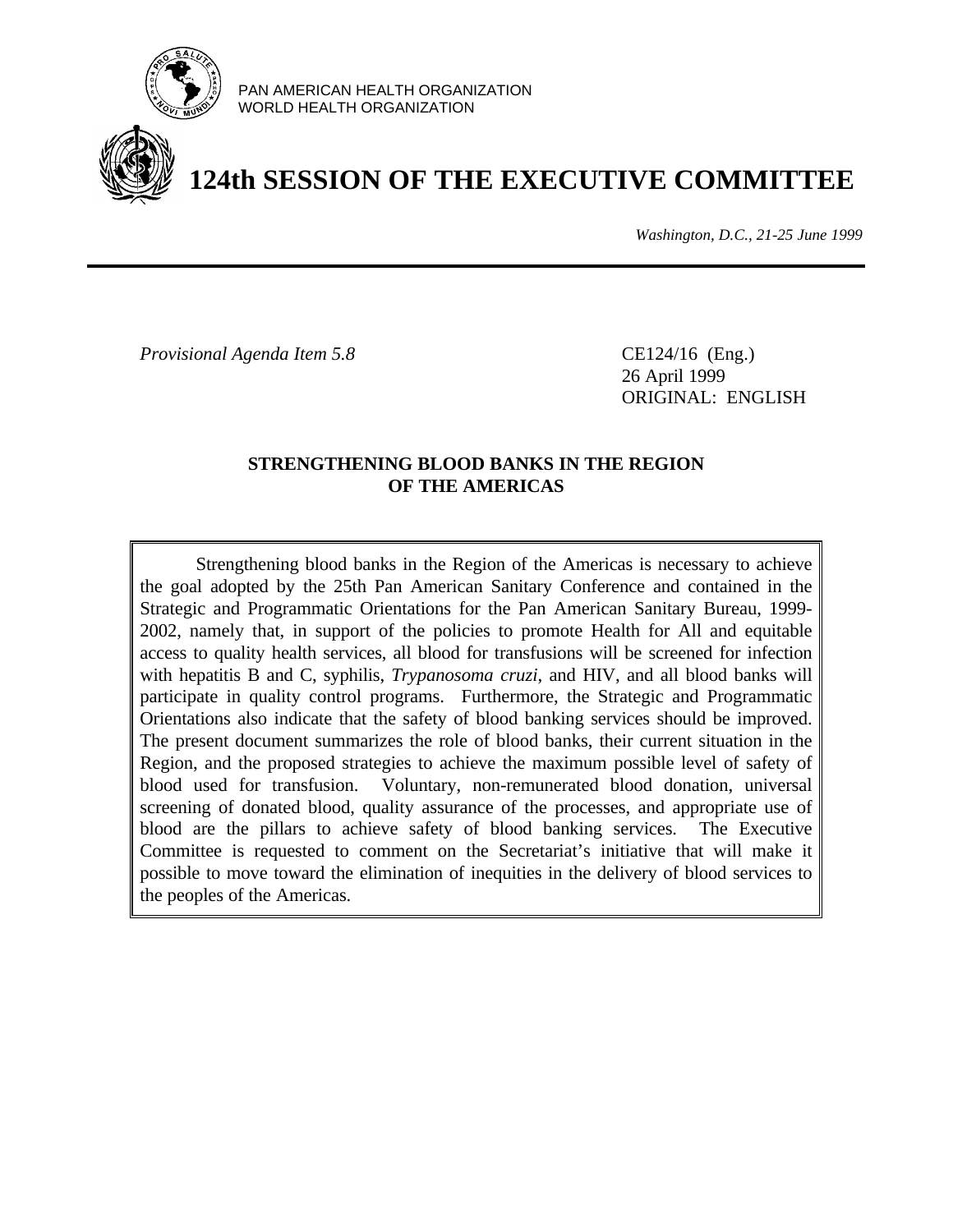

PAN AMERICAN HEALTH ORGANIZATION WORLD HEALTH ORGANIZATION

# **124th SESSION OF THE EXECUTIVE COMMITTEE**

*Washington, D.C., 21-25 June 1999*

*Provisional Agenda Item 5.8* CE124/16 (Eng.)

26 April 1999 ORIGINAL: ENGLISH

### **STRENGTHENING BLOOD BANKS IN THE REGION OF THE AMERICAS**

Strengthening blood banks in the Region of the Americas is necessary to achieve the goal adopted by the 25th Pan American Sanitary Conference and contained in the Strategic and Programmatic Orientations for the Pan American Sanitary Bureau, 1999- 2002, namely that, in support of the policies to promote Health for All and equitable access to quality health services, all blood for transfusions will be screened for infection with hepatitis B and C, syphilis, *Trypanosoma cruzi*, and HIV, and all blood banks will participate in quality control programs. Furthermore, the Strategic and Programmatic Orientations also indicate that the safety of blood banking services should be improved. The present document summarizes the role of blood banks, their current situation in the Region, and the proposed strategies to achieve the maximum possible level of safety of blood used for transfusion. Voluntary, non-remunerated blood donation, universal screening of donated blood, quality assurance of the processes, and appropriate use of blood are the pillars to achieve safety of blood banking services. The Executive Committee is requested to comment on the Secretariat's initiative that will make it possible to move toward the elimination of inequities in the delivery of blood services to the peoples of the Americas.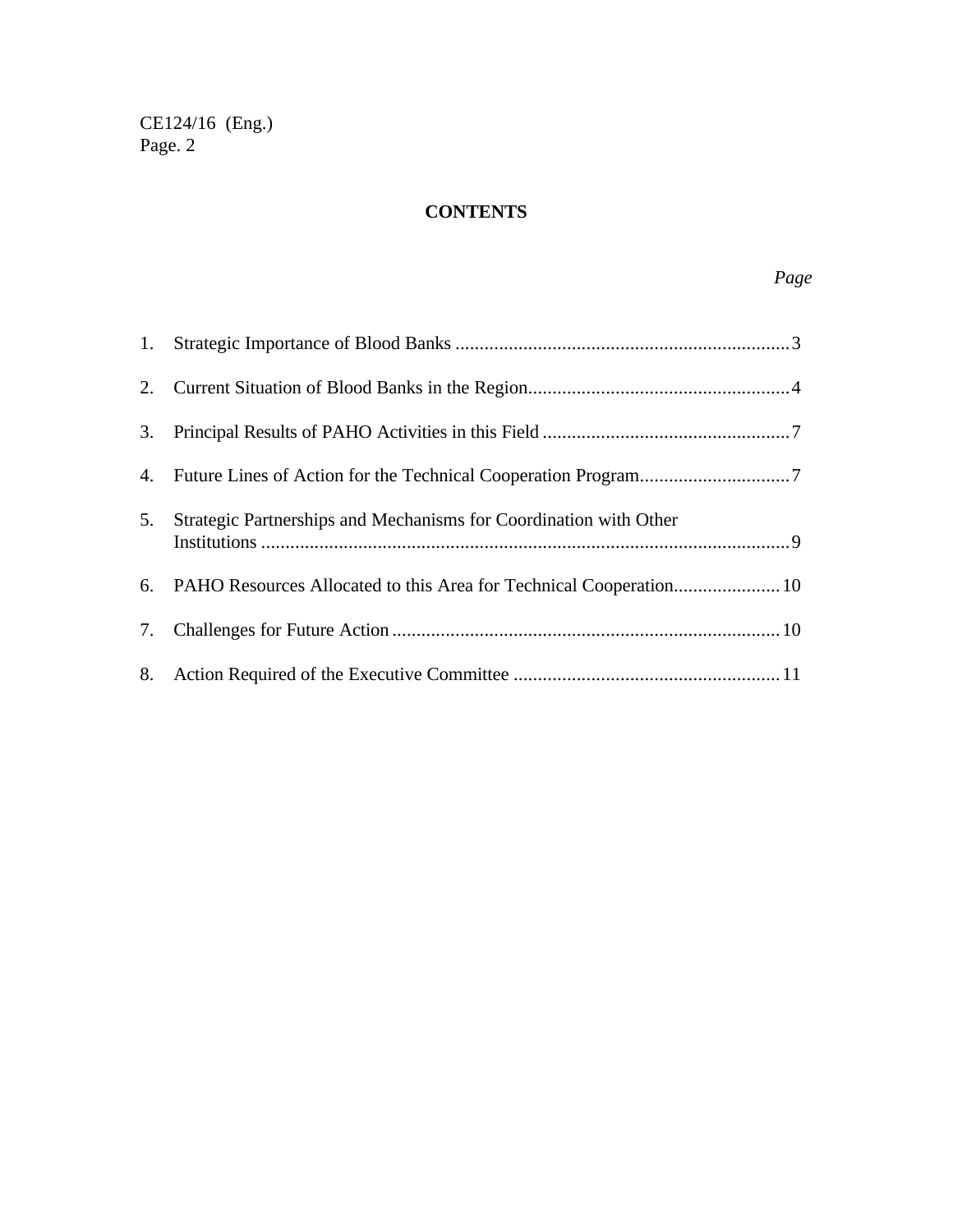## **CONTENTS**

| 5. | Strategic Partnerships and Mechanisms for Coordination with Other |
|----|-------------------------------------------------------------------|
|    |                                                                   |
|    |                                                                   |
|    |                                                                   |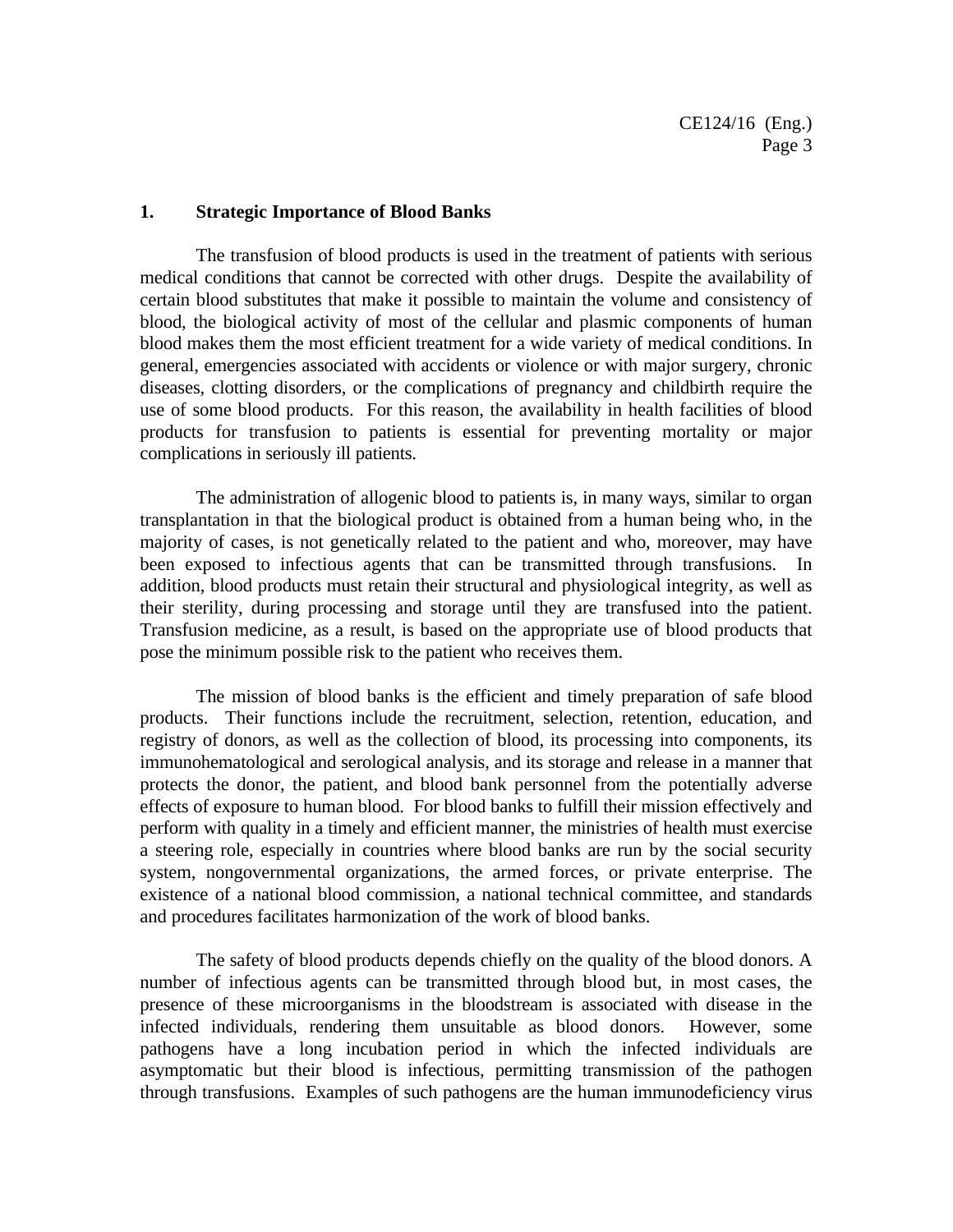#### **1. Strategic Importance of Blood Banks**

The transfusion of blood products is used in the treatment of patients with serious medical conditions that cannot be corrected with other drugs. Despite the availability of certain blood substitutes that make it possible to maintain the volume and consistency of blood, the biological activity of most of the cellular and plasmic components of human blood makes them the most efficient treatment for a wide variety of medical conditions. In general, emergencies associated with accidents or violence or with major surgery, chronic diseases, clotting disorders, or the complications of pregnancy and childbirth require the use of some blood products. For this reason, the availability in health facilities of blood products for transfusion to patients is essential for preventing mortality or major complications in seriously ill patients.

The administration of allogenic blood to patients is, in many ways, similar to organ transplantation in that the biological product is obtained from a human being who, in the majority of cases, is not genetically related to the patient and who, moreover, may have been exposed to infectious agents that can be transmitted through transfusions. In addition, blood products must retain their structural and physiological integrity, as well as their sterility, during processing and storage until they are transfused into the patient. Transfusion medicine, as a result, is based on the appropriate use of blood products that pose the minimum possible risk to the patient who receives them.

The mission of blood banks is the efficient and timely preparation of safe blood products. Their functions include the recruitment, selection, retention, education, and registry of donors, as well as the collection of blood, its processing into components, its immunohematological and serological analysis, and its storage and release in a manner that protects the donor, the patient, and blood bank personnel from the potentially adverse effects of exposure to human blood. For blood banks to fulfill their mission effectively and perform with quality in a timely and efficient manner, the ministries of health must exercise a steering role, especially in countries where blood banks are run by the social security system, nongovernmental organizations, the armed forces, or private enterprise. The existence of a national blood commission, a national technical committee, and standards and procedures facilitates harmonization of the work of blood banks.

The safety of blood products depends chiefly on the quality of the blood donors. A number of infectious agents can be transmitted through blood but, in most cases, the presence of these microorganisms in the bloodstream is associated with disease in the infected individuals, rendering them unsuitable as blood donors. However, some pathogens have a long incubation period in which the infected individuals are asymptomatic but their blood is infectious, permitting transmission of the pathogen through transfusions. Examples of such pathogens are the human immunodeficiency virus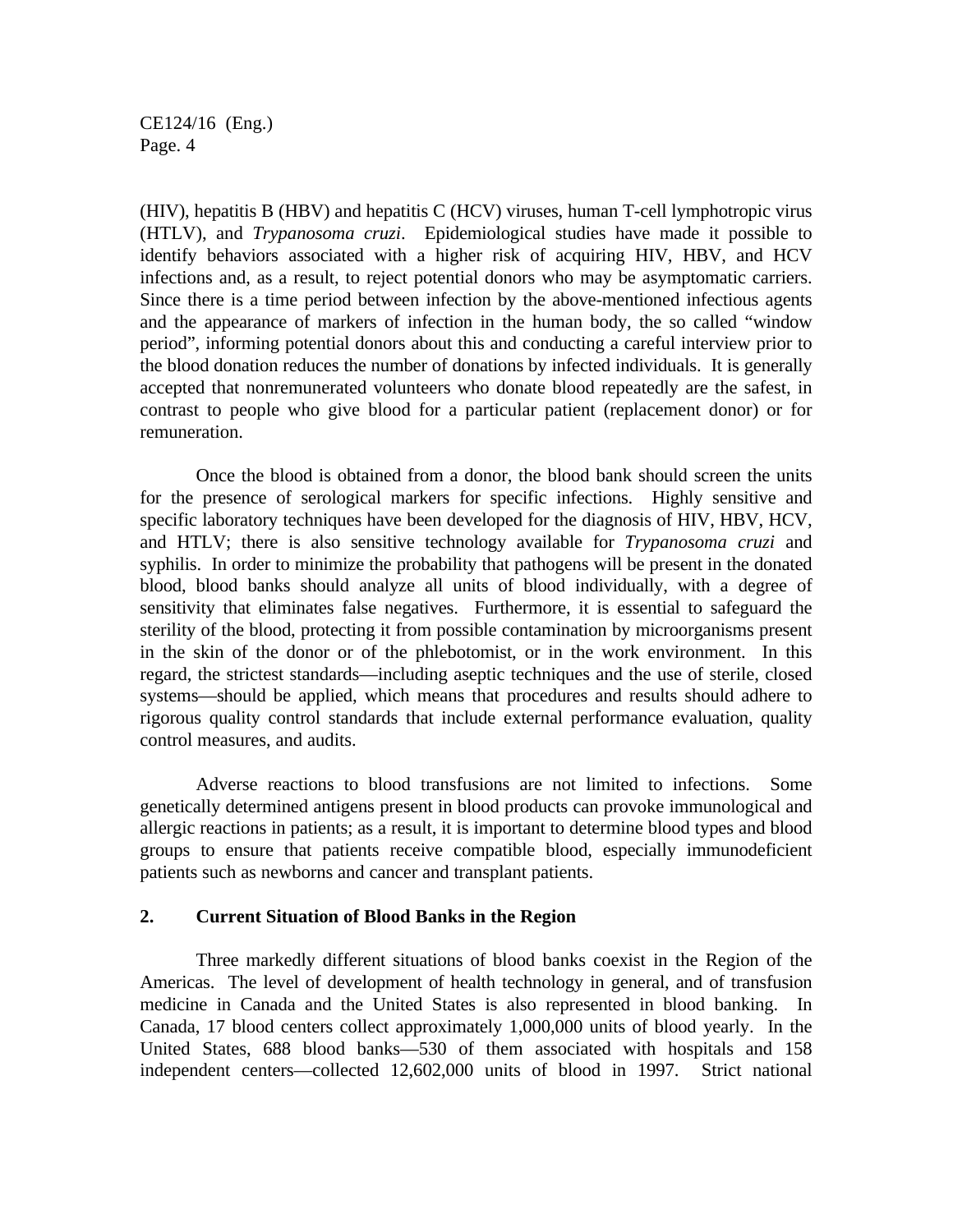(HIV), hepatitis B (HBV) and hepatitis C (HCV) viruses, human T-cell lymphotropic virus (HTLV), and *Trypanosoma cruzi*. Epidemiological studies have made it possible to identify behaviors associated with a higher risk of acquiring HIV, HBV, and HCV infections and, as a result, to reject potential donors who may be asymptomatic carriers. Since there is a time period between infection by the above-mentioned infectious agents and the appearance of markers of infection in the human body, the so called "window period", informing potential donors about this and conducting a careful interview prior to the blood donation reduces the number of donations by infected individuals. It is generally accepted that nonremunerated volunteers who donate blood repeatedly are the safest, in contrast to people who give blood for a particular patient (replacement donor) or for remuneration.

Once the blood is obtained from a donor, the blood bank should screen the units for the presence of serological markers for specific infections. Highly sensitive and specific laboratory techniques have been developed for the diagnosis of HIV, HBV, HCV, and HTLV; there is also sensitive technology available for *Trypanosoma cruzi* and syphilis. In order to minimize the probability that pathogens will be present in the donated blood, blood banks should analyze all units of blood individually, with a degree of sensitivity that eliminates false negatives. Furthermore, it is essential to safeguard the sterility of the blood, protecting it from possible contamination by microorganisms present in the skin of the donor or of the phlebotomist, or in the work environment. In this regard, the strictest standards—including aseptic techniques and the use of sterile, closed systems—should be applied, which means that procedures and results should adhere to rigorous quality control standards that include external performance evaluation, quality control measures, and audits.

Adverse reactions to blood transfusions are not limited to infections. Some genetically determined antigens present in blood products can provoke immunological and allergic reactions in patients; as a result, it is important to determine blood types and blood groups to ensure that patients receive compatible blood, especially immunodeficient patients such as newborns and cancer and transplant patients.

#### **2. Current Situation of Blood Banks in the Region**

Three markedly different situations of blood banks coexist in the Region of the Americas. The level of development of health technology in general, and of transfusion medicine in Canada and the United States is also represented in blood banking. In Canada, 17 blood centers collect approximately 1,000,000 units of blood yearly. In the United States, 688 blood banks—530 of them associated with hospitals and 158 independent centers—collected 12,602,000 units of blood in 1997. Strict national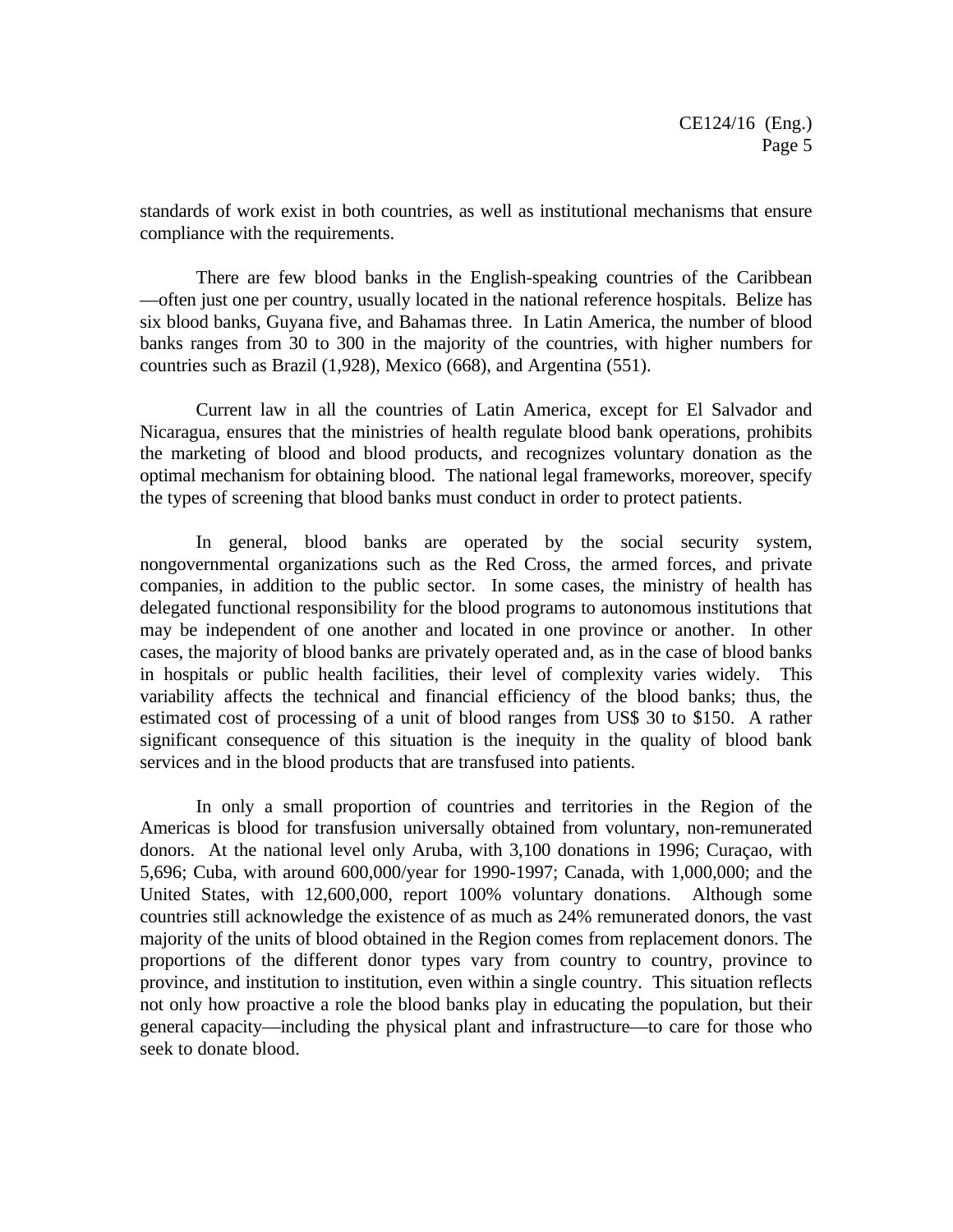standards of work exist in both countries, as well as institutional mechanisms that ensure compliance with the requirements.

There are few blood banks in the English-speaking countries of the Caribbean —often just one per country, usually located in the national reference hospitals. Belize has six blood banks, Guyana five, and Bahamas three. In Latin America, the number of blood banks ranges from 30 to 300 in the majority of the countries, with higher numbers for countries such as Brazil (1,928), Mexico (668), and Argentina (551).

Current law in all the countries of Latin America, except for El Salvador and Nicaragua, ensures that the ministries of health regulate blood bank operations, prohibits the marketing of blood and blood products, and recognizes voluntary donation as the optimal mechanism for obtaining blood. The national legal frameworks, moreover, specify the types of screening that blood banks must conduct in order to protect patients.

In general, blood banks are operated by the social security system, nongovernmental organizations such as the Red Cross, the armed forces, and private companies, in addition to the public sector. In some cases, the ministry of health has delegated functional responsibility for the blood programs to autonomous institutions that may be independent of one another and located in one province or another. In other cases, the majority of blood banks are privately operated and, as in the case of blood banks in hospitals or public health facilities, their level of complexity varies widely. This variability affects the technical and financial efficiency of the blood banks; thus, the estimated cost of processing of a unit of blood ranges from US\$ 30 to \$150. A rather significant consequence of this situation is the inequity in the quality of blood bank services and in the blood products that are transfused into patients.

In only a small proportion of countries and territories in the Region of the Americas is blood for transfusion universally obtained from voluntary, non-remunerated donors. At the national level only Aruba, with 3,100 donations in 1996; Curaçao, with 5,696; Cuba, with around 600,000/year for 1990-1997; Canada, with 1,000,000; and the United States, with 12,600,000, report 100% voluntary donations. Although some countries still acknowledge the existence of as much as 24% remunerated donors, the vast majority of the units of blood obtained in the Region comes from replacement donors. The proportions of the different donor types vary from country to country, province to province, and institution to institution, even within a single country. This situation reflects not only how proactive a role the blood banks play in educating the population, but their general capacity—including the physical plant and infrastructure—to care for those who seek to donate blood.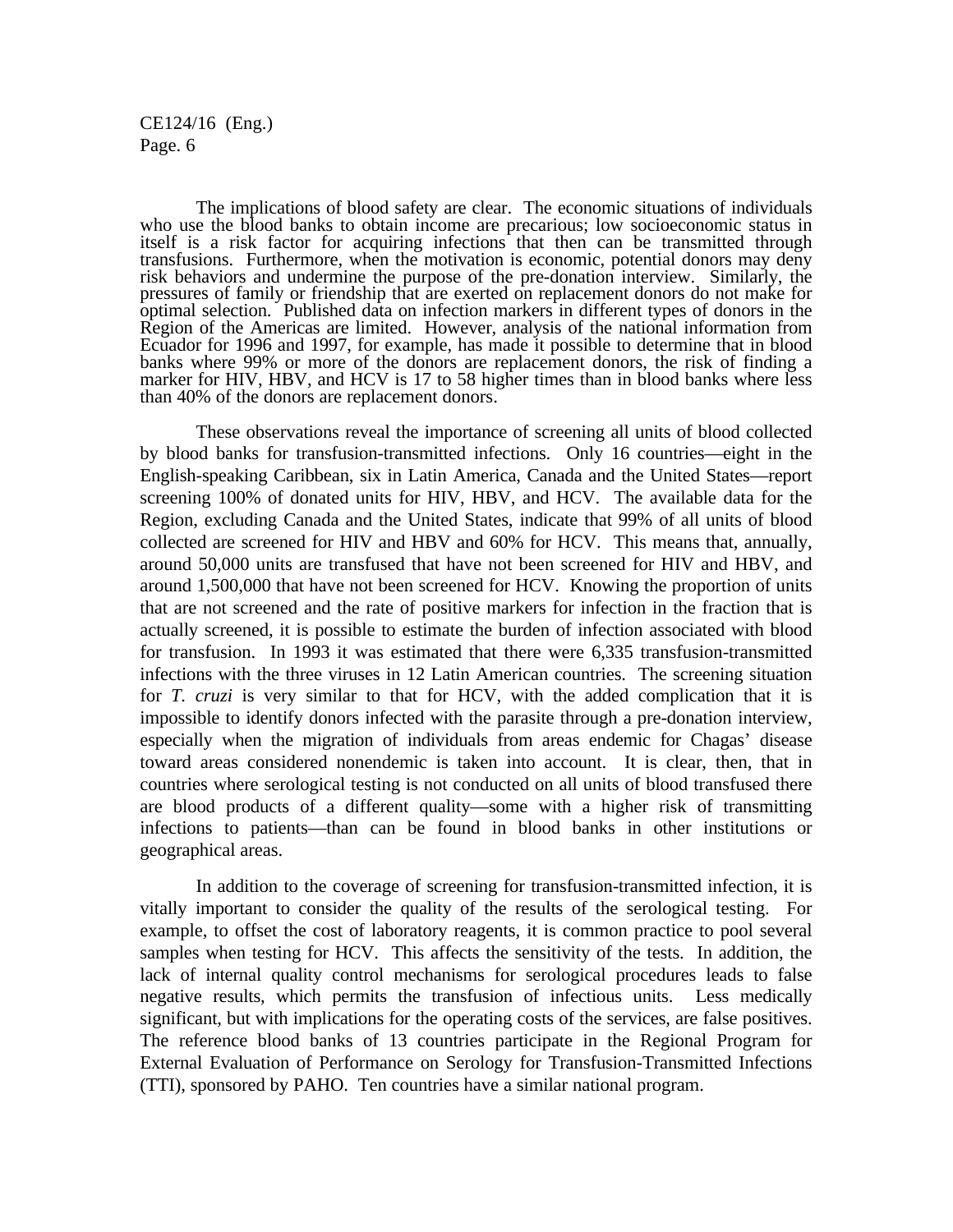The implications of blood safety are clear. The economic situations of individuals who use the blood banks to obtain income are precarious; low socioeconomic status in itself is a risk factor for acquiring infections that then can be transmitted through transfusions. Furthermore, when the motivation is economic, potential donors may deny risk behaviors and undermine the purpose of the pre-donation interview. Similarly, the pressures of family or friendship that are exerted on replacement donors do not make for optimal selection. Published data on infection markers in different types of donors in the Region of the Americas are limited. However, analysis of the national information from Ecuador for 1996 and 1997, for example, has made it possible to determine that in blood banks where 99% or more of the donors are replacement donors, the risk of finding a marker for HIV, HBV, and HCV is 17 to 58 higher times than in blood banks where less than 40% of the donors are replacement donors.

These observations reveal the importance of screening all units of blood collected by blood banks for transfusion-transmitted infections. Only 16 countries—eight in the English-speaking Caribbean, six in Latin America, Canada and the United States—report screening 100% of donated units for HIV, HBV, and HCV. The available data for the Region, excluding Canada and the United States, indicate that 99% of all units of blood collected are screened for HIV and HBV and 60% for HCV. This means that, annually, around 50,000 units are transfused that have not been screened for HIV and HBV, and around 1,500,000 that have not been screened for HCV. Knowing the proportion of units that are not screened and the rate of positive markers for infection in the fraction that is actually screened, it is possible to estimate the burden of infection associated with blood for transfusion. In 1993 it was estimated that there were 6,335 transfusion-transmitted infections with the three viruses in 12 Latin American countries. The screening situation for *T. cruzi* is very similar to that for HCV, with the added complication that it is impossible to identify donors infected with the parasite through a pre-donation interview, especially when the migration of individuals from areas endemic for Chagas' disease toward areas considered nonendemic is taken into account. It is clear, then, that in countries where serological testing is not conducted on all units of blood transfused there are blood products of a different quality—some with a higher risk of transmitting infections to patients—than can be found in blood banks in other institutions or geographical areas.

In addition to the coverage of screening for transfusion-transmitted infection, it is vitally important to consider the quality of the results of the serological testing. For example, to offset the cost of laboratory reagents, it is common practice to pool several samples when testing for HCV. This affects the sensitivity of the tests. In addition, the lack of internal quality control mechanisms for serological procedures leads to false negative results, which permits the transfusion of infectious units. Less medically significant, but with implications for the operating costs of the services, are false positives. The reference blood banks of 13 countries participate in the Regional Program for External Evaluation of Performance on Serology for Transfusion-Transmitted Infections (TTI), sponsored by PAHO. Ten countries have a similar national program.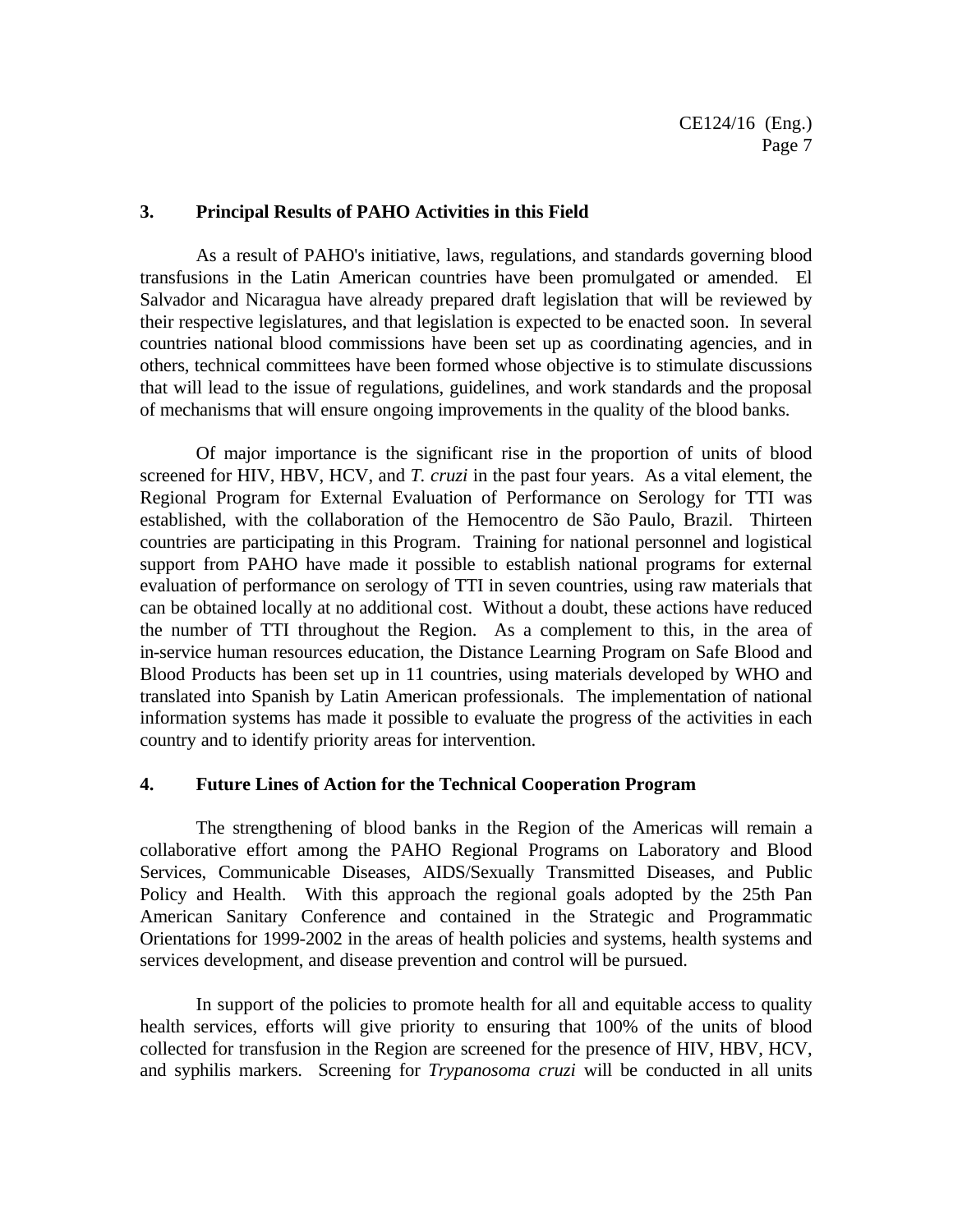#### **3. Principal Results of PAHO Activities in this Field**

As a result of PAHO's initiative, laws, regulations, and standards governing blood transfusions in the Latin American countries have been promulgated or amended. El Salvador and Nicaragua have already prepared draft legislation that will be reviewed by their respective legislatures, and that legislation is expected to be enacted soon. In several countries national blood commissions have been set up as coordinating agencies, and in others, technical committees have been formed whose objective is to stimulate discussions that will lead to the issue of regulations, guidelines, and work standards and the proposal of mechanisms that will ensure ongoing improvements in the quality of the blood banks.

Of major importance is the significant rise in the proportion of units of blood screened for HIV, HBV, HCV, and *T. cruzi* in the past four years. As a vital element, the Regional Program for External Evaluation of Performance on Serology for TTI was established, with the collaboration of the Hemocentro de São Paulo, Brazil. Thirteen countries are participating in this Program. Training for national personnel and logistical support from PAHO have made it possible to establish national programs for external evaluation of performance on serology of TTI in seven countries, using raw materials that can be obtained locally at no additional cost. Without a doubt, these actions have reduced the number of TTI throughout the Region. As a complement to this, in the area of in-service human resources education, the Distance Learning Program on Safe Blood and Blood Products has been set up in 11 countries, using materials developed by WHO and translated into Spanish by Latin American professionals. The implementation of national information systems has made it possible to evaluate the progress of the activities in each country and to identify priority areas for intervention.

#### **4. Future Lines of Action for the Technical Cooperation Program**

The strengthening of blood banks in the Region of the Americas will remain a collaborative effort among the PAHO Regional Programs on Laboratory and Blood Services, Communicable Diseases, AIDS/Sexually Transmitted Diseases, and Public Policy and Health. With this approach the regional goals adopted by the 25th Pan American Sanitary Conference and contained in the Strategic and Programmatic Orientations for 1999-2002 in the areas of health policies and systems, health systems and services development, and disease prevention and control will be pursued.

In support of the policies to promote health for all and equitable access to quality health services, efforts will give priority to ensuring that 100% of the units of blood collected for transfusion in the Region are screened for the presence of HIV, HBV, HCV, and syphilis markers. Screening for *Trypanosoma cruzi* will be conducted in all units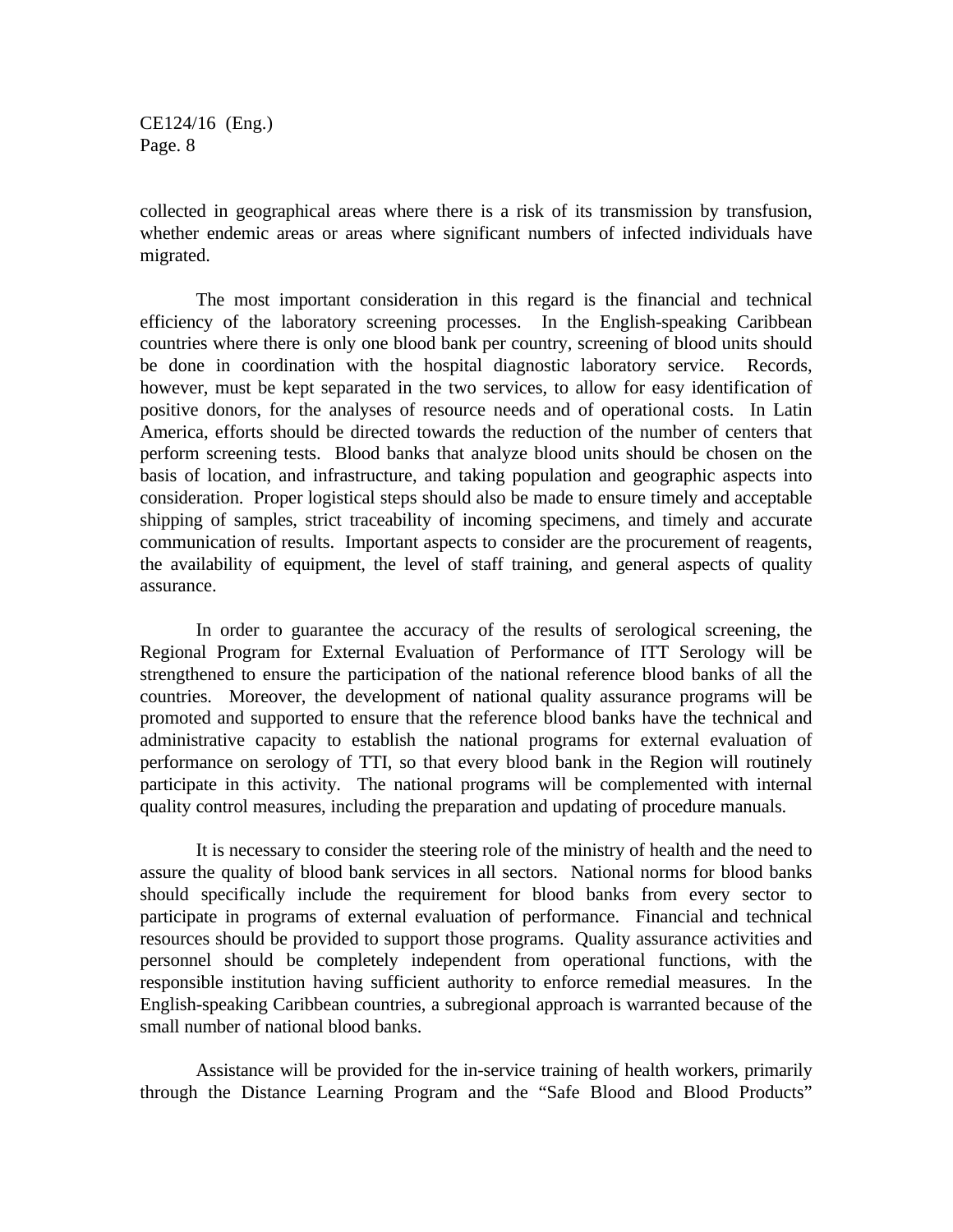collected in geographical areas where there is a risk of its transmission by transfusion, whether endemic areas or areas where significant numbers of infected individuals have migrated.

The most important consideration in this regard is the financial and technical efficiency of the laboratory screening processes. In the English-speaking Caribbean countries where there is only one blood bank per country, screening of blood units should be done in coordination with the hospital diagnostic laboratory service. Records, however, must be kept separated in the two services, to allow for easy identification of positive donors, for the analyses of resource needs and of operational costs. In Latin America, efforts should be directed towards the reduction of the number of centers that perform screening tests. Blood banks that analyze blood units should be chosen on the basis of location, and infrastructure, and taking population and geographic aspects into consideration. Proper logistical steps should also be made to ensure timely and acceptable shipping of samples, strict traceability of incoming specimens, and timely and accurate communication of results. Important aspects to consider are the procurement of reagents, the availability of equipment, the level of staff training, and general aspects of quality assurance.

In order to guarantee the accuracy of the results of serological screening, the Regional Program for External Evaluation of Performance of ITT Serology will be strengthened to ensure the participation of the national reference blood banks of all the countries. Moreover, the development of national quality assurance programs will be promoted and supported to ensure that the reference blood banks have the technical and administrative capacity to establish the national programs for external evaluation of performance on serology of TTI, so that every blood bank in the Region will routinely participate in this activity. The national programs will be complemented with internal quality control measures, including the preparation and updating of procedure manuals.

It is necessary to consider the steering role of the ministry of health and the need to assure the quality of blood bank services in all sectors. National norms for blood banks should specifically include the requirement for blood banks from every sector to participate in programs of external evaluation of performance. Financial and technical resources should be provided to support those programs. Quality assurance activities and personnel should be completely independent from operational functions, with the responsible institution having sufficient authority to enforce remedial measures. In the English-speaking Caribbean countries, a subregional approach is warranted because of the small number of national blood banks.

Assistance will be provided for the in-service training of health workers, primarily through the Distance Learning Program and the "Safe Blood and Blood Products"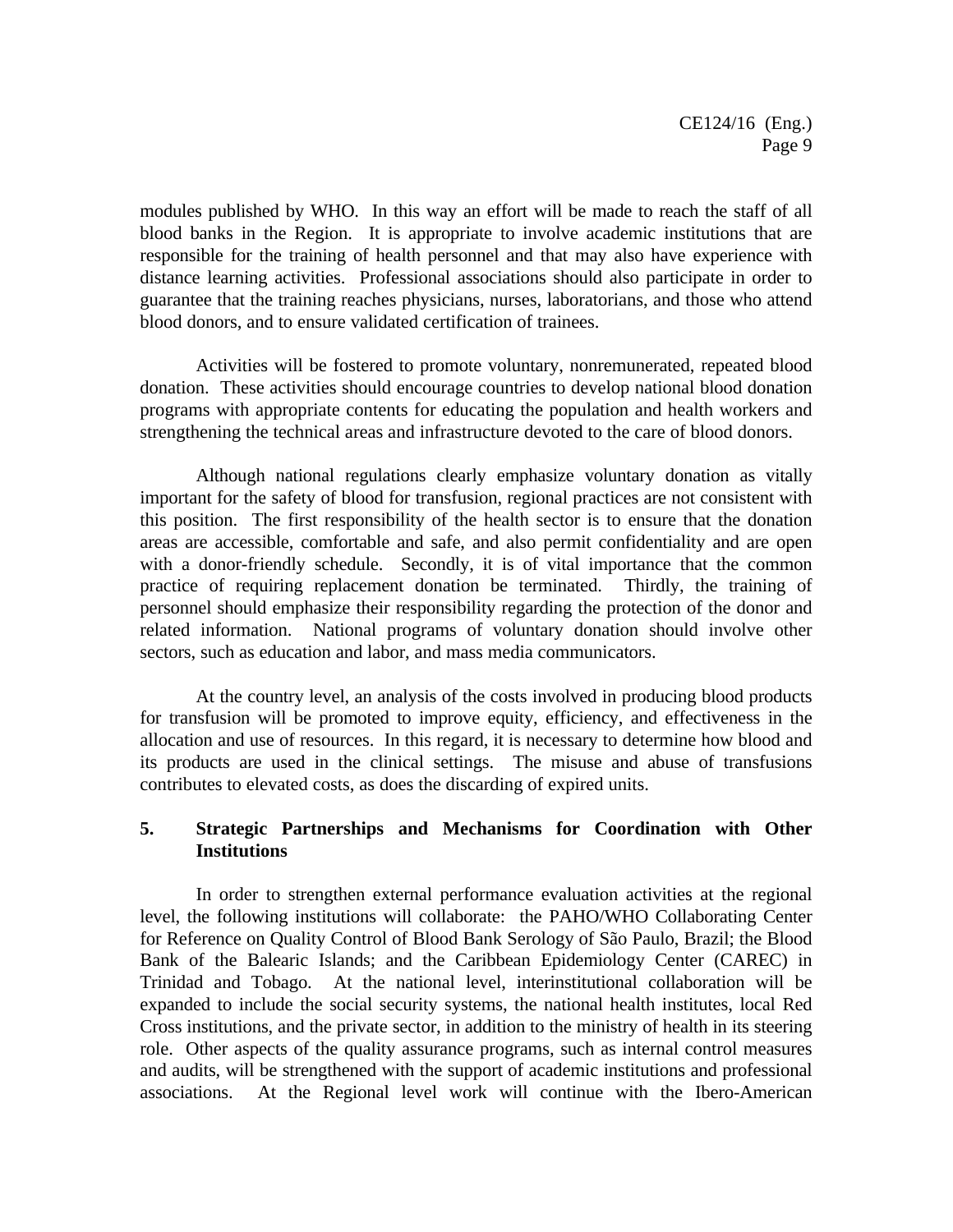modules published by WHO. In this way an effort will be made to reach the staff of all blood banks in the Region. It is appropriate to involve academic institutions that are responsible for the training of health personnel and that may also have experience with distance learning activities. Professional associations should also participate in order to guarantee that the training reaches physicians, nurses, laboratorians, and those who attend blood donors, and to ensure validated certification of trainees.

Activities will be fostered to promote voluntary, nonremunerated, repeated blood donation. These activities should encourage countries to develop national blood donation programs with appropriate contents for educating the population and health workers and strengthening the technical areas and infrastructure devoted to the care of blood donors.

Although national regulations clearly emphasize voluntary donation as vitally important for the safety of blood for transfusion, regional practices are not consistent with this position. The first responsibility of the health sector is to ensure that the donation areas are accessible, comfortable and safe, and also permit confidentiality and are open with a donor-friendly schedule. Secondly, it is of vital importance that the common practice of requiring replacement donation be terminated. Thirdly, the training of personnel should emphasize their responsibility regarding the protection of the donor and related information. National programs of voluntary donation should involve other sectors, such as education and labor, and mass media communicators.

At the country level, an analysis of the costs involved in producing blood products for transfusion will be promoted to improve equity, efficiency, and effectiveness in the allocation and use of resources. In this regard, it is necessary to determine how blood and its products are used in the clinical settings. The misuse and abuse of transfusions contributes to elevated costs, as does the discarding of expired units.

#### **5. Strategic Partnerships and Mechanisms for Coordination with Other Institutions**

In order to strengthen external performance evaluation activities at the regional level, the following institutions will collaborate: the PAHO/WHO Collaborating Center for Reference on Quality Control of Blood Bank Serology of São Paulo, Brazil; the Blood Bank of the Balearic Islands; and the Caribbean Epidemiology Center (CAREC) in Trinidad and Tobago. At the national level, interinstitutional collaboration will be expanded to include the social security systems, the national health institutes, local Red Cross institutions, and the private sector, in addition to the ministry of health in its steering role. Other aspects of the quality assurance programs, such as internal control measures and audits, will be strengthened with the support of academic institutions and professional associations. At the Regional level work will continue with the Ibero-American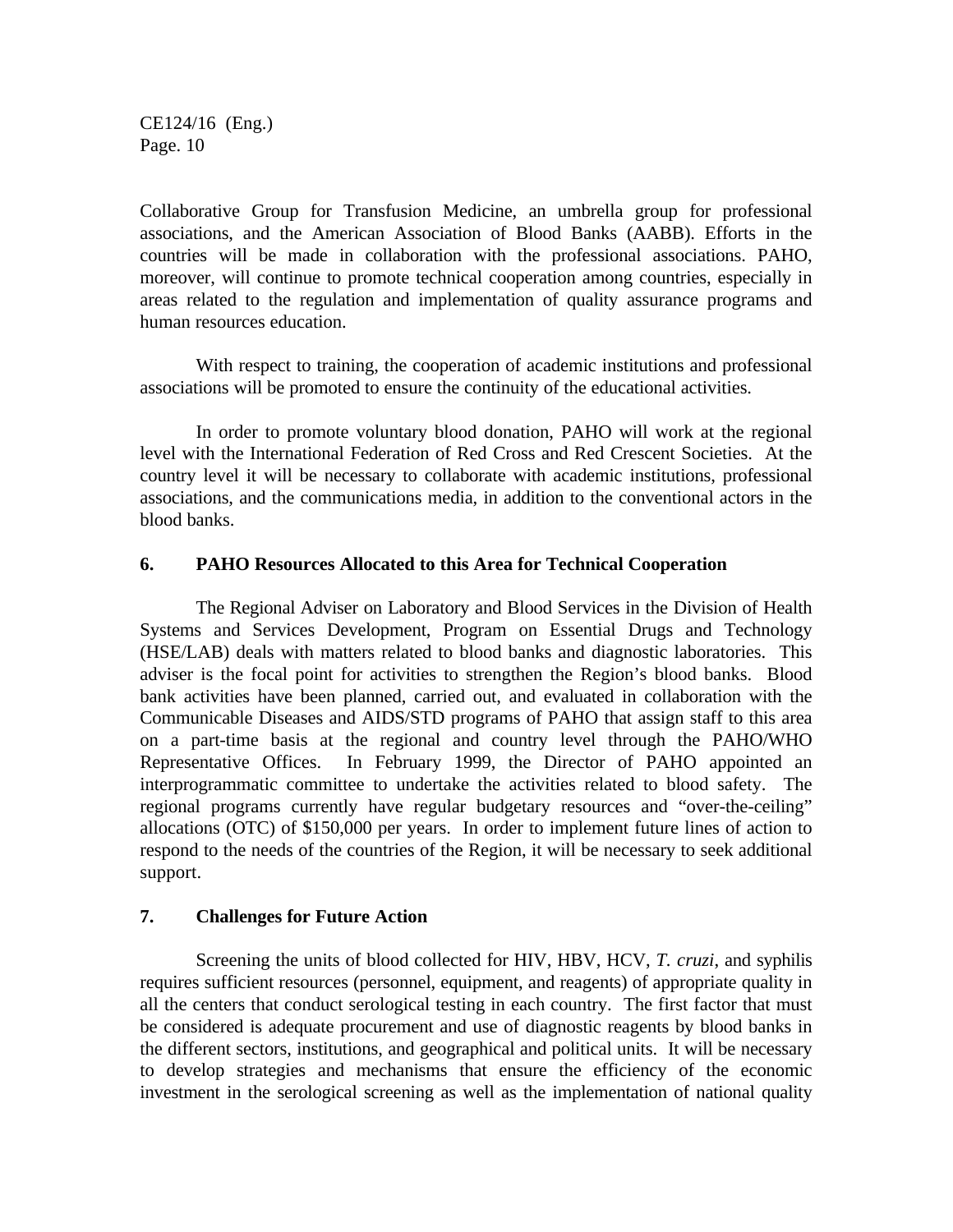Collaborative Group for Transfusion Medicine, an umbrella group for professional associations, and the American Association of Blood Banks (AABB). Efforts in the countries will be made in collaboration with the professional associations. PAHO, moreover, will continue to promote technical cooperation among countries, especially in areas related to the regulation and implementation of quality assurance programs and human resources education.

With respect to training, the cooperation of academic institutions and professional associations will be promoted to ensure the continuity of the educational activities.

In order to promote voluntary blood donation, PAHO will work at the regional level with the International Federation of Red Cross and Red Crescent Societies. At the country level it will be necessary to collaborate with academic institutions, professional associations, and the communications media, in addition to the conventional actors in the blood banks.

#### **6. PAHO Resources Allocated to this Area for Technical Cooperation**

The Regional Adviser on Laboratory and Blood Services in the Division of Health Systems and Services Development, Program on Essential Drugs and Technology (HSE/LAB) deals with matters related to blood banks and diagnostic laboratories. This adviser is the focal point for activities to strengthen the Region's blood banks. Blood bank activities have been planned, carried out, and evaluated in collaboration with the Communicable Diseases and AIDS/STD programs of PAHO that assign staff to this area on a part-time basis at the regional and country level through the PAHO/WHO Representative Offices. In February 1999, the Director of PAHO appointed an interprogrammatic committee to undertake the activities related to blood safety. The regional programs currently have regular budgetary resources and "over-the-ceiling" allocations (OTC) of \$150,000 per years. In order to implement future lines of action to respond to the needs of the countries of the Region, it will be necessary to seek additional support.

#### **7. Challenges for Future Action**

Screening the units of blood collected for HIV, HBV, HCV, *T. cruzi*, and syphilis requires sufficient resources (personnel, equipment, and reagents) of appropriate quality in all the centers that conduct serological testing in each country. The first factor that must be considered is adequate procurement and use of diagnostic reagents by blood banks in the different sectors, institutions, and geographical and political units. It will be necessary to develop strategies and mechanisms that ensure the efficiency of the economic investment in the serological screening as well as the implementation of national quality